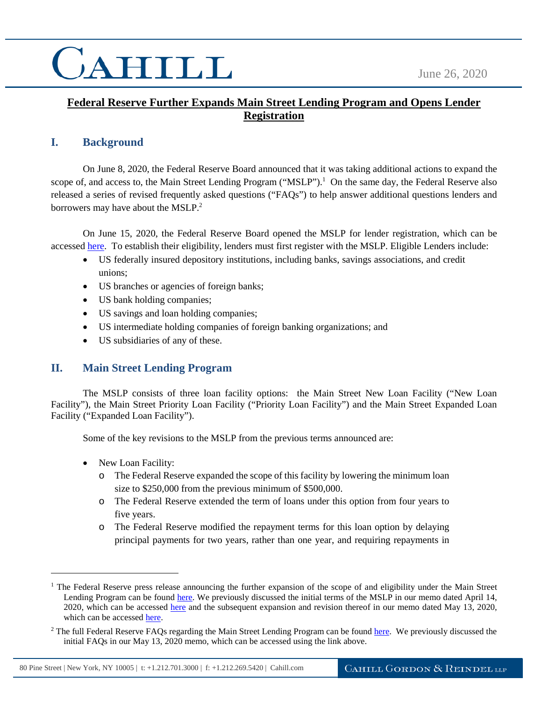### **Federal Reserve Further Expands Main Street Lending Program and Opens Lender Registration**

### **I. Background**

On June 8, 2020, the Federal Reserve Board announced that it was taking additional actions to expand the scope of, and access to, the Main Street Lending Program ("MSLP").<sup>1</sup> On the same day, the Federal Reserve also released a series of revised frequently asked questions ("FAQs") to help answer additional questions lenders and borrowers may have about the  $MSLP<sup>2</sup>$ .

On June 15, 2020, the Federal Reserve Board opened the MSLP for lender registration, which can be accessed [here.](https://www.bostonfed.org/supervision-and-regulation/supervision/special-facilities/main-street-lending-program/information-for-lenders.aspx?utm_source=email-alert&utm_medium=email&utm_campaign=mslp&utm_content=nc-lender-page200615) To establish their eligibility, lenders must first register with the MSLP. Eligible Lenders include:

- US federally insured depository institutions, including banks, savings associations, and credit unions;
- US branches or agencies of foreign banks;
- US bank holding companies;
- US savings and loan holding companies;
- US intermediate holding companies of foreign banking organizations; and
- US subsidiaries of any of these.

#### **II. Main Street Lending Program**

The MSLP consists of three loan facility options: the Main Street New Loan Facility ("New Loan Facility"), the Main Street Priority Loan Facility ("Priority Loan Facility") and the Main Street Expanded Loan Facility ("Expanded Loan Facility").

Some of the key revisions to the MSLP from the previous terms announced are:

• New Loan Facility:

 $\overline{a}$ 

- o The Federal Reserve expanded the scope of this facility by lowering the minimum loan size to \$250,000 from the previous minimum of \$500,000.
- o The Federal Reserve extended the term of loans under this option from four years to five years.
- o The Federal Reserve modified the repayment terms for this loan option by delaying principal payments for two years, rather than one year, and requiring repayments in

<sup>&</sup>lt;sup>1</sup> The Federal Reserve press release announcing the further expansion of the scope of and eligibility under the Main Street Lending Program can be found [here.](https://www.federalreserve.gov/newsevents/pressreleases/monetary20200608a.htm) We previously discussed the initial terms of the MSLP in our memo dated April 14, 2020, which can be accessed [here](https://www.cahill.com/publications/covid-19-insights/2020-04-14-federal-reserve-announces-up-to-23-trillion-in-new-lending-programs-in-support-of-economy/_res/id=Attachments/index=0/Federal%20Reserve%20Announces%20up%20to%20$2.3%20Trillion%20in%20New%20Lending%20Programs%20in%20Support%20of%20Economy.pdf) and the subsequent expansion and revision thereof in our memo dated May 13, 2020, which can be accesse[d here.](https://www.cahill.com/publications/covid-19-insights/2020-05-13-federal-reserve-expands-and-revises-terms-of-the-main-street-lending-program/_res/id=Attachments/index=0/Federal%20Reserve%20Expands%20and%20Revises%20Terms%20of%20the%20Main%20Street%20Lending%20Program.pdf)

<sup>&</sup>lt;sup>2</sup> The full Federal Reserve FAQs regarding the Main Street Lending Program can be found [here.](https://www.federalreserve.gov/monetarypolicy/mainstreetlending.htm) We previously discussed the initial FAQs in our May 13, 2020 memo, which can be accessed using the link above.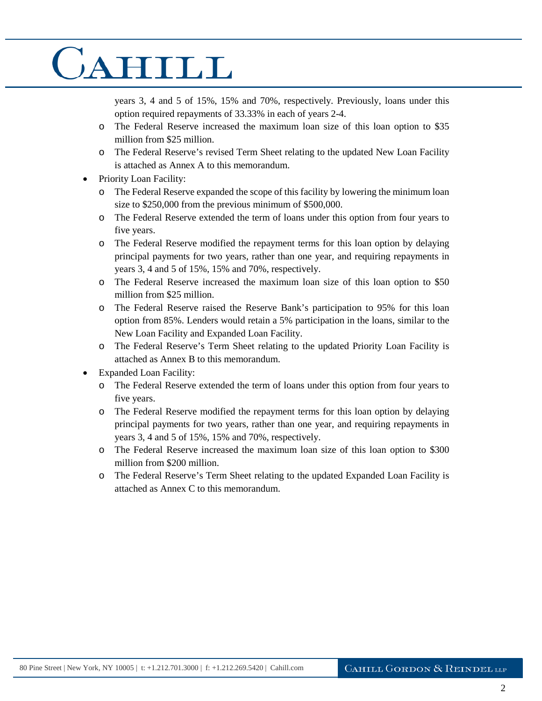years 3, 4 and 5 of 15%, 15% and 70%, respectively. Previously, loans under this option required repayments of 33.33% in each of years 2-4.

- o The Federal Reserve increased the maximum loan size of this loan option to \$35 million from \$25 million.
- o The Federal Reserve's revised Term Sheet relating to the updated New Loan Facility is attached as Annex A to this memorandum.
- Priority Loan Facility:
	- o The Federal Reserve expanded the scope of this facility by lowering the minimum loan size to \$250,000 from the previous minimum of \$500,000.
	- o The Federal Reserve extended the term of loans under this option from four years to five years.
	- o The Federal Reserve modified the repayment terms for this loan option by delaying principal payments for two years, rather than one year, and requiring repayments in years 3, 4 and 5 of 15%, 15% and 70%, respectively.
	- o The Federal Reserve increased the maximum loan size of this loan option to \$50 million from \$25 million.
	- o The Federal Reserve raised the Reserve Bank's participation to 95% for this loan option from 85%. Lenders would retain a 5% participation in the loans, similar to the New Loan Facility and Expanded Loan Facility.
	- o The Federal Reserve's Term Sheet relating to the updated Priority Loan Facility is attached as Annex B to this memorandum.
- Expanded Loan Facility:
	- o The Federal Reserve extended the term of loans under this option from four years to five years.
	- o The Federal Reserve modified the repayment terms for this loan option by delaying principal payments for two years, rather than one year, and requiring repayments in years 3, 4 and 5 of 15%, 15% and 70%, respectively.
	- o The Federal Reserve increased the maximum loan size of this loan option to \$300 million from \$200 million.
	- o The Federal Reserve's Term Sheet relating to the updated Expanded Loan Facility is attached as Annex C to this memorandum.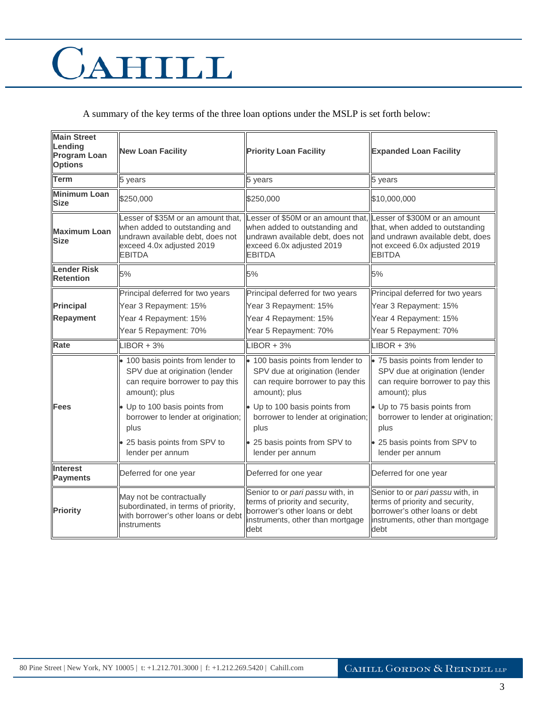A summary of the key terms of the three loan options under the MSLP is set forth below:

| <b>Main Street</b><br>Lending<br><b>Program Loan</b><br><b>Options</b> | <b>New Loan Facility</b>                                                                                                                              | <b>Priority Loan Facility</b>                                                                                                                         | <b>Expanded Loan Facility</b>                                                                                                                          |
|------------------------------------------------------------------------|-------------------------------------------------------------------------------------------------------------------------------------------------------|-------------------------------------------------------------------------------------------------------------------------------------------------------|--------------------------------------------------------------------------------------------------------------------------------------------------------|
| <b>Term</b>                                                            | 5 years                                                                                                                                               | 5 years                                                                                                                                               | 5 years                                                                                                                                                |
| <b>Minimum Loan</b><br><b>Size</b>                                     | \$250,000                                                                                                                                             | \$250,000                                                                                                                                             | \$10,000,000                                                                                                                                           |
| <b>Maximum Loan</b><br><b>Size</b>                                     | Lesser of \$35M or an amount that,<br>when added to outstanding and<br>undrawn available debt, does not<br>exceed 4.0x adjusted 2019<br><b>EBITDA</b> | Lesser of \$50M or an amount that,<br>when added to outstanding and<br>undrawn available debt, does not<br>exceed 6.0x adjusted 2019<br><b>EBITDA</b> | Lesser of \$300M or an amount<br>that, when added to outstanding<br>and undrawn available debt, does<br>not exceed 6.0x adjusted 2019<br><b>EBITDA</b> |
| <b>Lender Risk</b><br><b>Retention</b>                                 | 5%                                                                                                                                                    | 5%                                                                                                                                                    | 5%                                                                                                                                                     |
|                                                                        | Principal deferred for two years                                                                                                                      | Principal deferred for two years                                                                                                                      | Principal deferred for two years                                                                                                                       |
| <b>Principal</b>                                                       | Year 3 Repayment: 15%                                                                                                                                 | Year 3 Repayment: 15%                                                                                                                                 | Year 3 Repayment: 15%                                                                                                                                  |
| <b>Repayment</b>                                                       | Year 4 Repayment: 15%                                                                                                                                 | Year 4 Repayment: 15%                                                                                                                                 | Year 4 Repayment: 15%                                                                                                                                  |
|                                                                        | Year 5 Repayment: 70%                                                                                                                                 | Year 5 Repayment: 70%                                                                                                                                 | Year 5 Repayment: 70%                                                                                                                                  |
| Rate                                                                   | $LIBOR + 3%$                                                                                                                                          | $LIBOR + 3%$                                                                                                                                          | $LIBOR + 3%$                                                                                                                                           |
|                                                                        | · 100 basis points from lender to<br>SPV due at origination (lender<br>can require borrower to pay this<br>amount); plus                              | · 100 basis points from lender to<br>SPV due at origination (lender<br>can require borrower to pay this<br>amount); plus                              | • 75 basis points from lender to<br>SPV due at origination (lender<br>can require borrower to pay this<br>amount); plus                                |
| Fees                                                                   | Up to 100 basis points from<br>borrower to lender at origination;<br>plus                                                                             | • Up to 100 basis points from<br>borrower to lender at origination;<br>plus                                                                           | • Up to 75 basis points from<br>borrower to lender at origination;<br>plus                                                                             |
|                                                                        | 25 basis points from SPV to<br>lender per annum                                                                                                       | • 25 basis points from SPV to<br>lender per annum                                                                                                     | • 25 basis points from SPV to<br>lender per annum                                                                                                      |
| <b>Interest</b><br><b>Payments</b>                                     | Deferred for one year                                                                                                                                 | Deferred for one year                                                                                                                                 | Deferred for one year                                                                                                                                  |
| <b>Priority</b>                                                        | May not be contractually<br>subordinated, in terms of priority,<br>with borrower's other loans or debt<br>instruments                                 | Senior to or pari passu with, in<br>terms of priority and security,<br>borrower's other loans or debt<br>instruments, other than mortgage<br>debt     | Senior to or pari passu with, in<br>terms of priority and security,<br>borrower's other loans or debt<br>instruments, other than mortgage<br>debt      |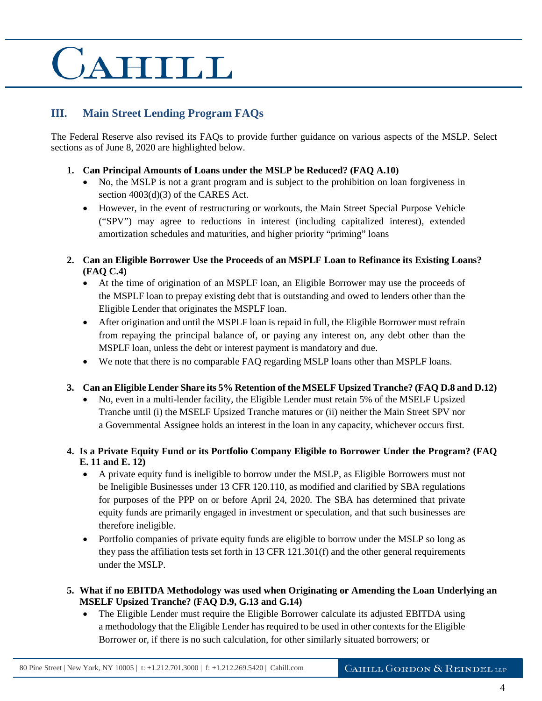### **III. Main Street Lending Program FAQs**

The Federal Reserve also revised its FAQs to provide further guidance on various aspects of the MSLP. Select sections as of June 8, 2020 are highlighted below.

- **1. Can Principal Amounts of Loans under the MSLP be Reduced? (FAQ A.10)** 
	- No, the MSLP is not a grant program and is subject to the prohibition on loan forgiveness in section 4003(d)(3) of the CARES Act.
	- However, in the event of restructuring or workouts, the Main Street Special Purpose Vehicle ("SPV") may agree to reductions in interest (including capitalized interest), extended amortization schedules and maturities, and higher priority "priming" loans
- **2. Can an Eligible Borrower Use the Proceeds of an MSPLF Loan to Refinance its Existing Loans? (FAQ C.4)**
	- At the time of origination of an MSPLF loan, an Eligible Borrower may use the proceeds of the MSPLF loan to prepay existing debt that is outstanding and owed to lenders other than the Eligible Lender that originates the MSPLF loan.
	- After origination and until the MSPLF loan is repaid in full, the Eligible Borrower must refrain from repaying the principal balance of, or paying any interest on, any debt other than the MSPLF loan, unless the debt or interest payment is mandatory and due.
	- We note that there is no comparable FAQ regarding MSLP loans other than MSPLF loans.
- **3. Can an Eligible Lender Share its 5% Retention of the MSELF Upsized Tranche? (FAQ D.8 and D.12)** 
	- No, even in a multi-lender facility, the Eligible Lender must retain 5% of the MSELF Upsized Tranche until (i) the MSELF Upsized Tranche matures or (ii) neither the Main Street SPV nor a Governmental Assignee holds an interest in the loan in any capacity, whichever occurs first.
- **4. Is a Private Equity Fund or its Portfolio Company Eligible to Borrower Under the Program? (FAQ E. 11 and E. 12)** 
	- A private equity fund is ineligible to borrow under the MSLP, as Eligible Borrowers must not be Ineligible Businesses under 13 CFR 120.110, as modified and clarified by SBA regulations for purposes of the PPP on or before April 24, 2020. The SBA has determined that private equity funds are primarily engaged in investment or speculation, and that such businesses are therefore ineligible.
	- Portfolio companies of private equity funds are eligible to borrow under the MSLP so long as they pass the affiliation tests set forth in 13 CFR 121.301(f) and the other general requirements under the MSLP.
- **5. What if no EBITDA Methodology was used when Originating or Amending the Loan Underlying an MSELF Upsized Tranche? (FAQ D.9, G.13 and G.14)** 
	- The Eligible Lender must require the Eligible Borrower calculate its adjusted EBITDA using a methodology that the Eligible Lender has required to be used in other contexts for the Eligible Borrower or, if there is no such calculation, for other similarly situated borrowers; or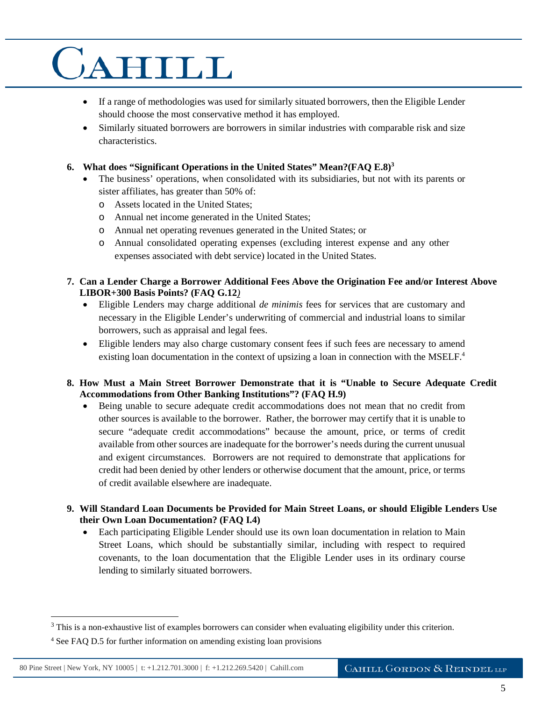- If a range of methodologies was used for similarly situated borrowers, then the Eligible Lender should choose the most conservative method it has employed.
- Similarly situated borrowers are borrowers in similar industries with comparable risk and size characteristics.
- **6. What does "Significant Operations in the United States" Mean?(FAQ E.8)<sup>3</sup>**
	- The business' operations, when consolidated with its subsidiaries, but not with its parents or sister affiliates, has greater than 50% of:
		- o Assets located in the United States;
		- o Annual net income generated in the United States;
		- o Annual net operating revenues generated in the United States; or
		- o Annual consolidated operating expenses (excluding interest expense and any other expenses associated with debt service) located in the United States.
- **7. Can a Lender Charge a Borrower Additional Fees Above the Origination Fee and/or Interest Above LIBOR+300 Basis Points? (FAQ G.12***)* 
	- Eligible Lenders may charge additional *de minimis* fees for services that are customary and necessary in the Eligible Lender's underwriting of commercial and industrial loans to similar borrowers, such as appraisal and legal fees.
	- Eligible lenders may also charge customary consent fees if such fees are necessary to amend existing loan documentation in the context of upsizing a loan in connection with the MSELF.<sup>4</sup>

#### **8. How Must a Main Street Borrower Demonstrate that it is "Unable to Secure Adequate Credit Accommodations from Other Banking Institutions"? (FAQ H.9)**

- Being unable to secure adequate credit accommodations does not mean that no credit from other sources is available to the borrower. Rather, the borrower may certify that it is unable to secure "adequate credit accommodations" because the amount, price, or terms of credit available from other sources are inadequate for the borrower's needs during the current unusual and exigent circumstances. Borrowers are not required to demonstrate that applications for credit had been denied by other lenders or otherwise document that the amount, price, or terms of credit available elsewhere are inadequate.
- **9. Will Standard Loan Documents be Provided for Main Street Loans, or should Eligible Lenders Use their Own Loan Documentation? (FAQ I.4)** 
	- Each participating Eligible Lender should use its own loan documentation in relation to Main Street Loans, which should be substantially similar, including with respect to required covenants, to the loan documentation that the Eligible Lender uses in its ordinary course lending to similarly situated borrowers.

 $\overline{a}$ 

 $3$  This is a non-exhaustive list of examples borrowers can consider when evaluating eligibility under this criterion.

<sup>&</sup>lt;sup>4</sup> See FAQ D.5 for further information on amending existing loan provisions